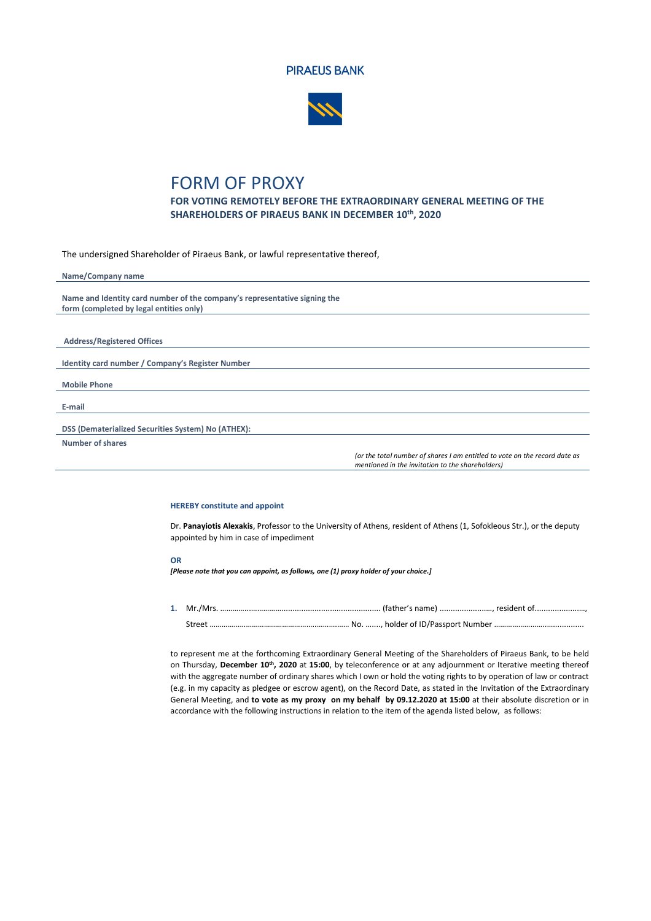



## FORM OF PROXY

**FOR VOTING REMOTELY BEFORE THE EXTRAORDINARY GENERAL MEETING OF THE SHAREHOLDERS OF PIRAEUS BANK IN DECEMBER 10 th, 2020**

The undersigned Shareholder of Piraeus Bank, or lawful representative thereof,

| Name/Company name                                                         |                                                                            |
|---------------------------------------------------------------------------|----------------------------------------------------------------------------|
|                                                                           |                                                                            |
| Name and Identity card number of the company's representative signing the |                                                                            |
| form (completed by legal entities only)                                   |                                                                            |
|                                                                           |                                                                            |
|                                                                           |                                                                            |
| <b>Address/Registered Offices</b>                                         |                                                                            |
|                                                                           |                                                                            |
| Identity card number / Company's Register Number                          |                                                                            |
|                                                                           |                                                                            |
| <b>Mobile Phone</b>                                                       |                                                                            |
|                                                                           |                                                                            |
| E-mail                                                                    |                                                                            |
|                                                                           |                                                                            |
| DSS (Dematerialized Securities System) No (ATHEX):                        |                                                                            |
| Number of shares                                                          |                                                                            |
|                                                                           | (or the total number of shares I am entitled to vote on the record date as |
|                                                                           | mentioned in the invitation to the shareholders)                           |

## **HEREBY constitute and appoint**

Dr. **Panayiotis Alexakis**, Professor to the University of Athens, resident of Athens (1, Sofokleous Str.), or the deputy appointed by him in case of impediment

## **OR**

*[Please note that you can appoint, as follows, one (1) proxy holder of your choice.]*

**1.** Mr./Mrs. …………...……………............................................. (father's name) .....................…, resident of....................…, Street ……………………………………………..……….…… No. …...., holder of ID/Passport Number ……………………..…..............

to represent me at the forthcoming Extraordinary General Meeting of the Shareholders of Piraeus Bank, to be held on Thursday, **December 10 th, 2020** at **15:00**, by teleconference or at any adjournment or Iterative meeting thereof with the aggregate number of ordinary shares which I own or hold the voting rights to by operation of law or contract (e.g. in my capacity as pledgee or escrow agent), on the Record Date, as stated in the Invitation of the Extraordinary General Meeting, and **to vote as my proxy on my behalf by 09.12.2020 at 15:00** at their absolute discretion or in accordance with the following instructions in relation to the item of the agenda listed below, as follows: